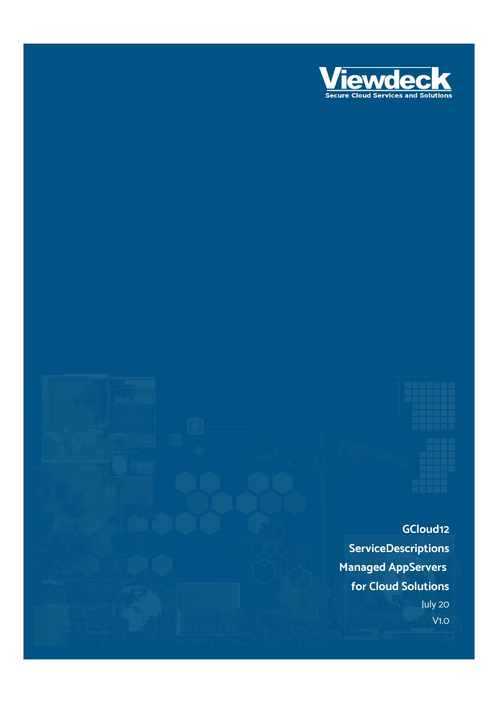

**GCloud12 ServiceDescriptions Managed AppServers for Cloud Solutions** July 20 V1.0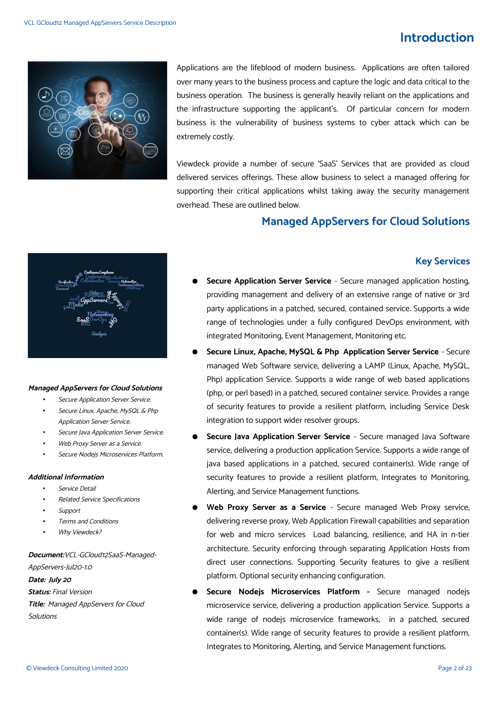# **Introduction**



Applications are the lifeblood of modern business. Applications are often tailored over many years to the business process and capture the logic and data critical to the business operation. The business is generally heavily reliant on the applications and the infrastructure supporting the applicant's. Of particular concern for modern business is the vulnerability of business systems to cyber attack which can be extremely costly.

Viewdeck provide a number of secure 'SaaS' Services that are provided as cloud delivered services offerings. These allow business to select a managed offering for supporting their critical applications whilst taking away the security management overhead. These are outlined below.

### **Managed AppServers for Cloud Solutions**

#### **Key Services**



#### **Managed AppServers for Cloud Solutions**

- Secure Application Server Service.
- Secure Linux, Apache, MySQL & Php Application Server Service.
- Secure Java Application Server Service.
- Web Proxy Server as a Service.
- Secure Nodejs Microservices Platform.

#### **Additional Information**

- Service Detail
- Related Service Specifications
- **Support**
- Terms and Conditions
- Why Viewdeck?

#### **Document:**VCL-GCloud12SaaS-Managed-AppServers-Jul20-1.0 **Date: July 20**

**Status:** Final Version **Title:** Managed AppServers for Cloud Solutions

- **Secure Application Server Service** Secure managed application hosting, providing management and delivery of an extensive range of native or 3rd party applications in a patched, secured, contained service. Supports a wide range of technologies under a fully configured DevOps environment, with integrated Monitoring, Event Management, Monitoring etc.
- Secure Linux, Apache, MySQL & Php Application Server Service Secure managed Web Software service, delivering a LAMP (Linux, Apache, MySQL, Php) application Service. Supports a wide range of web based applications (php, or perl based) in a patched, secured container service. Provides a range of security features to provide a resilient platform, including Service Desk integration to support wider resolver groups.
- **Secure Java Application Server Service** Secure managed Java Software service, delivering a production application Service. Supports a wide range of java based applications in a patched, secured container(s). Wide range of security features to provide a resilient platform, Integrates to Monitoring, Alerting, and Service Management functions.
- Web Proxy Server as a Service Secure managed Web Proxy service, delivering reverse proxy, Web Application Firewall capabilities and separation for web and micro services Load balancing, resilience, and HA in n-tier architecture. Security enforcing through separating Application Hosts from direct user connections. Supporting Security features to give a resilient platform. Optional security enhancing configuration.
- Secure Nodejs Microservices Platform Secure managed nodejs microservice service, delivering a production application Service. Supports a wide range of nodejs microservice frameworks, in a patched, secured container(s). Wide range of security features to provide a resilient platform, Integrates to Monitoring, Alerting, and Service Management functions.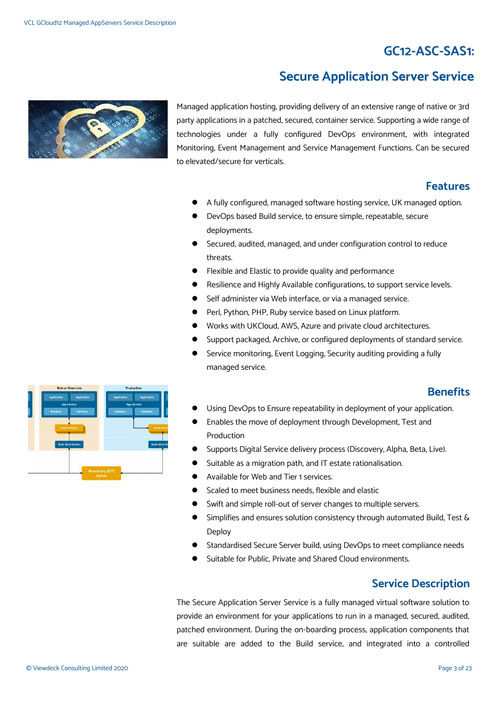# **GC12-ASC-SAS1:**

# **Secure Application Server Service**



Managed application hosting, providing delivery of an extensive range of native or 3rd party applications in a patched, secured, container service. Supporting a wide range of technologies under a fully configured DevOps environment, with integrated Monitoring, Event Management and Service Management Functions. Can be secured to elevated/secure for verticals.

### **Features**

- A fully configured, managed software hosting service, UK managed option.
- DevOps based Build service, to ensure simple, repeatable, secure deployments.
- Secured, audited, managed, and under configuration control to reduce threats.
- Flexible and Elastic to provide quality and performance
- Resilience and Highly Available configurations, to support service levels.
- Self administer via Web interface, or via a managed service.
- Perl, Python, PHP, Ruby service based on Linux platform.
- Works with UKCloud, AWS, Azure and private cloud architectures.
- Support packaged, Archive, or configured deployments of standard service.
- Service monitoring, Event Logging, Security auditing providing a fully managed service.

### **Benefits**

- Using DevOps to Ensure repeatability in deployment of your application.
- Enables the move of deployment through Development, Test and Production
- Supports Digital Service delivery process (Discovery, Alpha, Beta, Live).
- Suitable as a migration path, and IT estate rationalisation.
- Available for Web and Tier 1 services.
- Scaled to meet business needs, flexible and elastic
- Swift and simple roll-out of server changes to multiple servers.
- Simplifies and ensures solution consistency through automated Build, Test & Deploy
- Standardised Secure Server build, using DevOps to meet compliance needs
- Suitable for Public, Private and Shared Cloud environments.

### **Service Description**

The Secure Application Server Service is a fully managed virtual software solution to provide an environment for your applications to run in a managed, secured, audited, patched environment. During the on-boarding process, application components that are suitable are added to the Build service, and integrated into a controlled

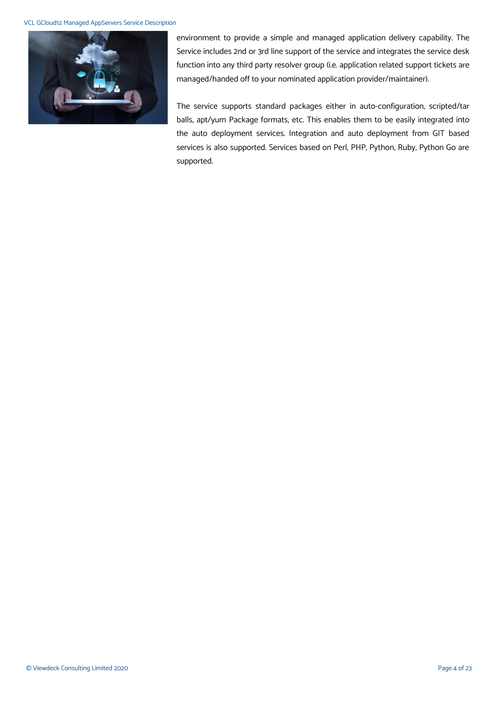#### VCL GCloud12 Managed AppServers Service Description



environment to provide a simple and managed application delivery capability. The Service includes 2nd or 3rd line support of the service and integrates the service desk function into any third party resolver group (i.e. application related support tickets are managed/handed off to your nominated application provider/maintainer).

The service supports standard packages either in auto-configuration, scripted/tar balls, apt/yum Package formats, etc. This enables them to be easily integrated into the auto deployment services. Integration and auto deployment from GIT based services is also supported. Services based on Perl, PHP, Python, Ruby, Python Go are supported.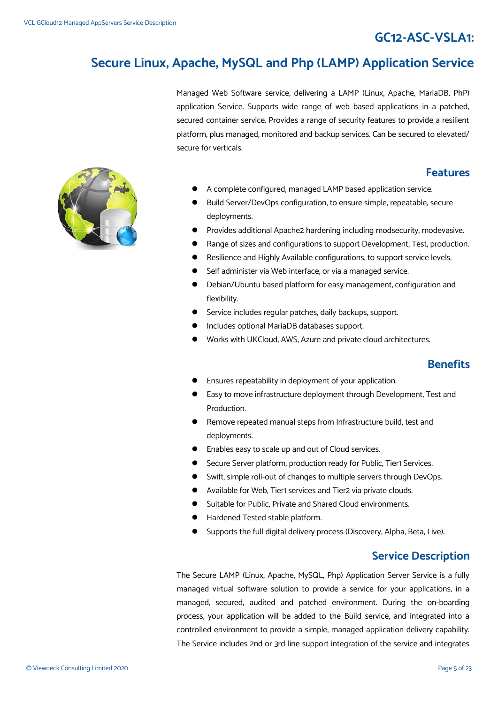# **GC12-ASC-VSLA1:**

# **Secure Linux, Apache, MySQL and Php (LAMP) Application Service**

Managed Web Software service, delivering a LAMP (Linux, Apache, MariaDB, PhP) application Service. Supports wide range of web based applications in a patched, secured container service. Provides a range of security features to provide a resilient platform, plus managed, monitored and backup services. Can be secured to elevated/ secure for verticals.

#### **Features**

- A complete configured, managed LAMP based application service.
- Build Server/DevOps configuration, to ensure simple, repeatable, secure deployments.
- Provides additional Apache2 hardening including modsecurity, modevasive.
- Range of sizes and configurations to support Development, Test, production.
- Resilience and Highly Available configurations, to support service levels.
- Self administer via Web interface, or via a managed service.
- Debian/Ubuntu based platform for easy management, configuration and flexibility.
- Service includes regular patches, daily backups, support.
- Includes optional MariaDB databases support.
- Works with UKCloud, AWS, Azure and private cloud architectures.

#### **Benefits**

- Ensures repeatability in deployment of your application.
- Easy to move infrastructure deployment through Development, Test and Production.
- Remove repeated manual steps from Infrastructure build, test and deployments.
- Enables easy to scale up and out of Cloud services.
- **•** Secure Server platform, production ready for Public, Tier1 Services.
- Swift, simple roll-out of changes to multiple servers through DevOps.
- Available for Web, Tier1 services and Tier2 via private clouds.
- Suitable for Public, Private and Shared Cloud environments.
- Hardened Tested stable platform.
- Supports the full digital delivery process (Discovery, Alpha, Beta, Live).

### **Service Description**

The Secure LAMP (Linux, Apache, MySQL, Php) Application Server Service is a fully managed virtual software solution to provide a service for your applications, in a managed, secured, audited and patched environment. During the on-boarding process, your application will be added to the Build service, and integrated into a controlled environment to provide a simple, managed application delivery capability. The Service includes 2nd or 3rd line support integration of the service and integrates

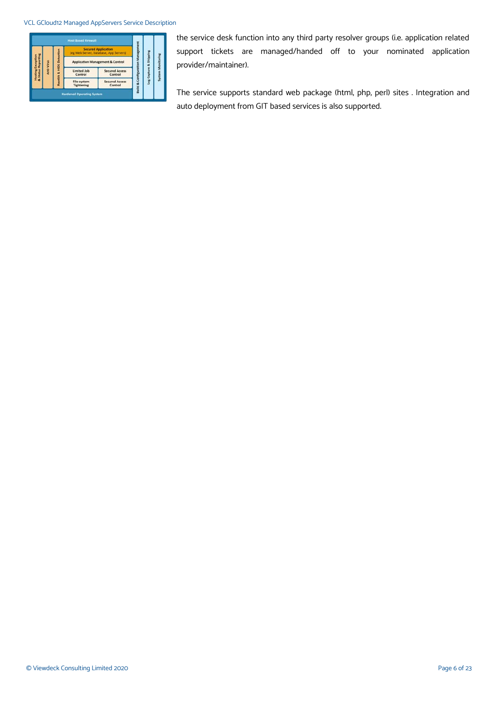#### VCL GCloud12 Managed AppServers Service Description

|                                |            |                       | <b>Host Based Firewall</b>                                           |                                             |           |  |                                                                          |
|--------------------------------|------------|-----------------------|----------------------------------------------------------------------|---------------------------------------------|-----------|--|--------------------------------------------------------------------------|
|                                | Anti-Virus | <b>HIDS</b> Detection | <b>Secured Application</b><br>(eg Web Server, Database, App Servers) |                                             | anagement |  |                                                                          |
| Reporting<br>Exception         |            |                       |                                                                      | <b>Application Management &amp; Control</b> |           |  | <b>&amp; Shipping</b><br><b>Build &amp; Configuration</b><br>Log Capture |
| Status<br>Hosting<br>Rootkit & |            |                       | <b>Limited Job</b><br>Control                                        | <b>Secured Access</b><br>Control            |           |  |                                                                          |
|                                |            |                       | File-system<br><b>Tightening</b>                                     | <b>Secured Access</b><br>Control            |           |  |                                                                          |

the service desk function into any third party resolver groups (i.e. application related support tickets are managed/handed off to your nominated application provider/maintainer).

The service supports standard web package (html, php, perl) sites . Integration and auto deployment from GIT based services is also supported.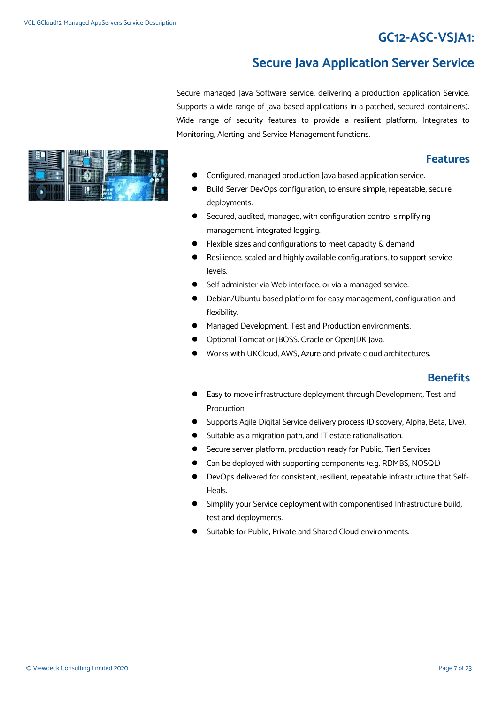# **GC12-ASC-VSJA1:**

# **Secure Java Application Server Service**

Secure managed Java Software service, delivering a production application Service. Supports a wide range of java based applications in a patched, secured container(s). Wide range of security features to provide a resilient platform, Integrates to Monitoring, Alerting, and Service Management functions.

### **Features**

- Configured, managed production Java based application service.
- Build Server DevOps configuration, to ensure simple, repeatable, secure deployments.
- Secured, audited, managed, with configuration control simplifying management, integrated logging.
- Flexible sizes and configurations to meet capacity & demand
- Resilience, scaled and highly available configurations, to support service levels.
- Self administer via Web interface, or via a managed service.
- Debian/Ubuntu based platform for easy management, configuration and flexibility.
- Managed Development, Test and Production environments.
- Optional Tomcat or JBOSS. Oracle or OpenJDK Java.
- Works with UKCloud, AWS, Azure and private cloud architectures.

### **Benefits**

- Easy to move infrastructure deployment through Development, Test and Production
- **Supports Agile Digital Service delivery process (Discovery, Alpha, Beta, Live).**
- Suitable as a migration path, and IT estate rationalisation.
- Secure server platform, production ready for Public, Tier1 Services
- Can be deployed with supporting components (e.g. RDMBS, NOSQL)
- DevOps delivered for consistent, resilient, repeatable infrastructure that Self-Heals.
- Simplify your Service deployment with componentised Infrastructure build, test and deployments.
- Suitable for Public, Private and Shared Cloud environments.

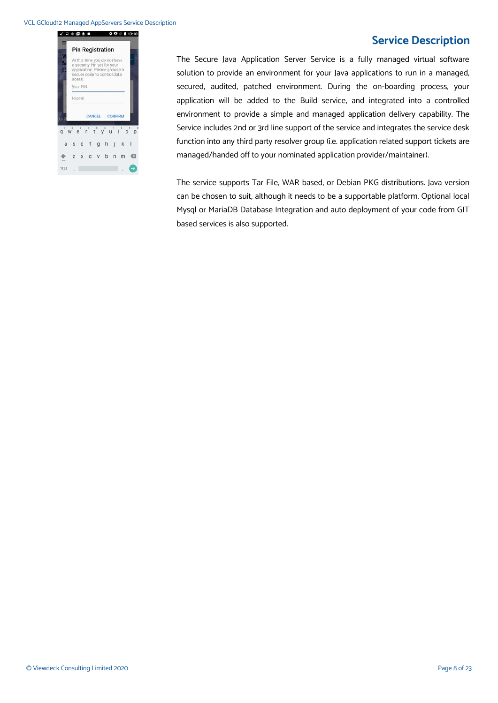#### VCL GCloud12 Managed AppServers Service Description



### **Service Description**

The Secure Java Application Server Service is a fully managed virtual software solution to provide an environment for your Java applications to run in a managed, secured, audited, patched environment. During the on-boarding process, your application will be added to the Build service, and integrated into a controlled environment to provide a simple and managed application delivery capability. The Service includes 2nd or 3rd line support of the service and integrates the service desk function into any third party resolver group (i.e. application related support tickets are managed/handed off to your nominated application provider/maintainer).

The service supports Tar File, WAR based, or Debian PKG distributions. Java version can be chosen to suit, although it needs to be a supportable platform. Optional local Mysql or MariaDB Database Integration and auto deployment of your code from GIT based services is also supported.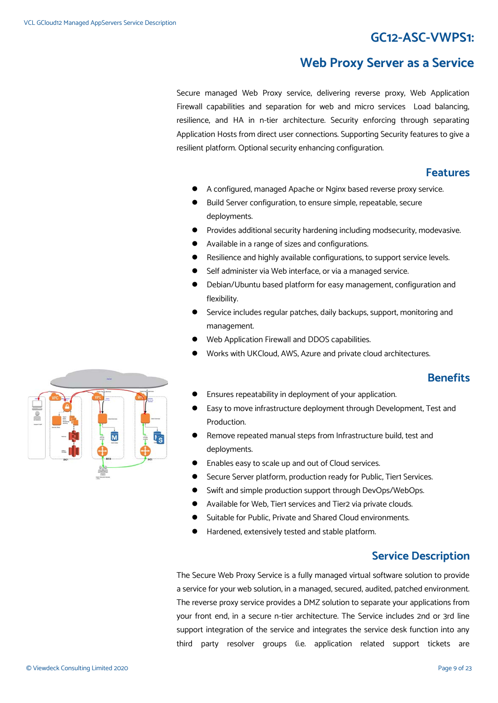# **GC12-ASC-VWPS1:**

### **Web Proxy Server as a Service**

Secure managed Web Proxy service, delivering reverse proxy, Web Application Firewall capabilities and separation for web and micro services Load balancing, resilience, and HA in n-tier architecture. Security enforcing through separating Application Hosts from direct user connections. Supporting Security features to give a resilient platform. Optional security enhancing configuration.

#### **Features**

- A configured, managed Apache or Nginx based reverse proxy service.
- Build Server configuration, to ensure simple, repeatable, secure deployments.
- Provides additional security hardening including modsecurity, modevasive.
- Available in a range of sizes and configurations.
- Resilience and highly available configurations, to support service levels.
- Self administer via Web interface, or via a managed service.
- Debian/Ubuntu based platform for easy management, configuration and flexibility.
- Service includes regular patches, daily backups, support, monitoring and management.
- Web Application Firewall and DDOS capabilities.
- Works with UKCloud, AWS, Azure and private cloud architectures.

### **Benefits**

- Ensures repeatability in deployment of your application.
- Easy to move infrastructure deployment through Development, Test and Production.
- Remove repeated manual steps from Infrastructure build, test and deployments.
- Enables easy to scale up and out of Cloud services.
- Secure Server platform, production ready for Public, Tier1 Services.
- Swift and simple production support through DevOps/WebOps.
- Available for Web, Tier1 services and Tier2 via private clouds.
- Suitable for Public, Private and Shared Cloud environments.
- Hardened, extensively tested and stable platform.

### **Service Description**

The Secure Web Proxy Service is a fully managed virtual software solution to provide a service for your web solution, in a managed, secured, audited, patched environment. The reverse proxy service provides a DMZ solution to separate your applications from your front end, in a secure n-tier architecture. The Service includes 2nd or 3rd line support integration of the service and integrates the service desk function into any third party resolver groups (i.e. application related support tickets are

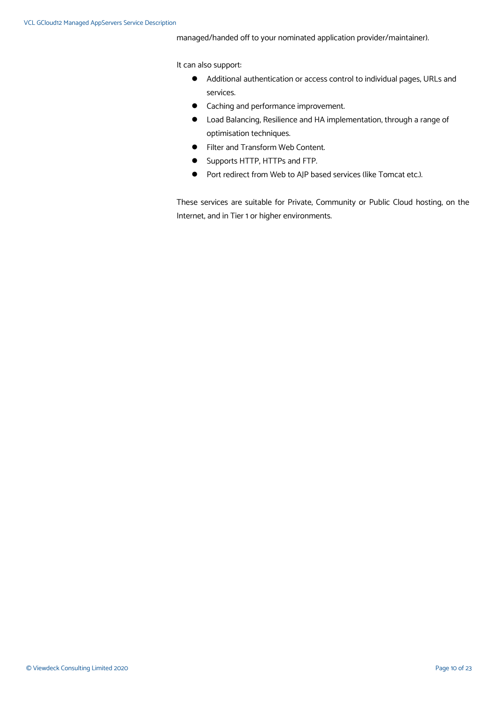managed/handed off to your nominated application provider/maintainer).

It can also support:

- Additional authentication or access control to individual pages, URLs and services.
- **•** Caching and performance improvement.
- Load Balancing, Resilience and HA implementation, through a range of optimisation techniques.
- **•** Filter and Transform Web Content.
- **Supports HTTP, HTTPs and FTP.**
- Port redirect from Web to AJP based services (like Tomcat etc.).

These services are suitable for Private, Community or Public Cloud hosting, on the Internet, and in Tier 1 or higher environments.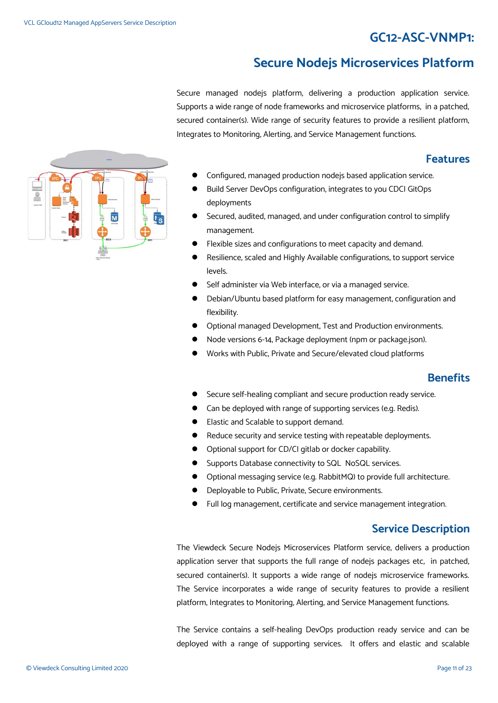# **GC12-ASC-VNMP1:**

# **Secure Nodejs Microservices Platform**

Secure managed nodejs platform, delivering a production application service. Supports a wide range of node frameworks and microservice platforms, in a patched, secured container(s). Wide range of security features to provide a resilient platform, Integrates to Monitoring, Alerting, and Service Management functions.

### **Features**

- Configured, managed production nodejs based application service.
- Build Server DevOps configuration, integrates to you CDCI GitOps deployments
- Secured, audited, managed, and under configuration control to simplify management.
- Flexible sizes and configurations to meet capacity and demand.
- Resilience, scaled and Highly Available configurations, to support service levels.
- Self administer via Web interface, or via a managed service.
- Debian/Ubuntu based platform for easy management, configuration and flexibility.
- Optional managed Development, Test and Production environments.
- Node versions 6-14, Package deployment (npm or package.json).
- Works with Public, Private and Secure/elevated cloud platforms

### **Benefits**

- Secure self-healing compliant and secure production ready service.
- Can be deployed with range of supporting services (e.g. Redis).
- Elastic and Scalable to support demand.
- Reduce security and service testing with repeatable deployments.
- Optional support for CD/CI gitlab or docker capability.
- Supports Database connectivity to SQL NoSQL services.
- Optional messaging service (e.g. RabbitMQ) to provide full architecture.
- Deployable to Public, Private, Secure environments.
- Full log management, certificate and service management integration.

### **Service Description**

The Viewdeck Secure Nodejs Microservices Platform service, delivers a production application server that supports the full range of nodejs packages etc, in patched, secured container(s). It supports a wide range of nodejs microservice frameworks. The Service incorporates a wide range of security features to provide a resilient platform, Integrates to Monitoring, Alerting, and Service Management functions.

The Service contains a self-healing DevOps production ready service and can be deployed with a range of supporting services. It offers and elastic and scalable

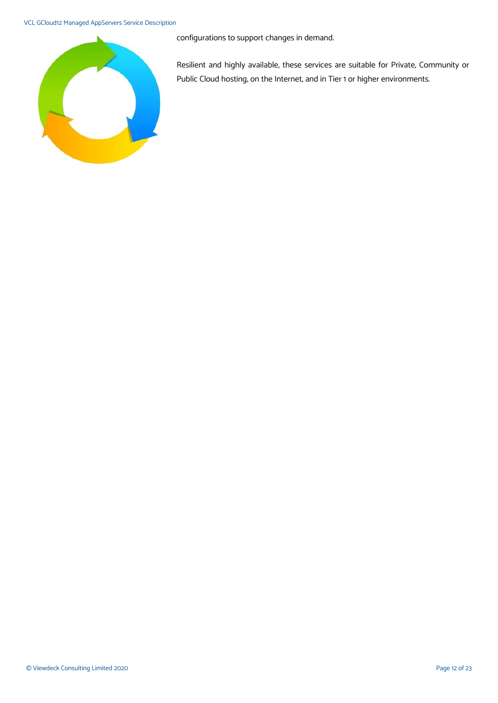#### VCL GCloud12 Managed AppServers Service Description



configurations to support changes in demand.

Resilient and highly available, these services are suitable for Private, Community or Public Cloud hosting, on the Internet, and in Tier 1 or higher environments.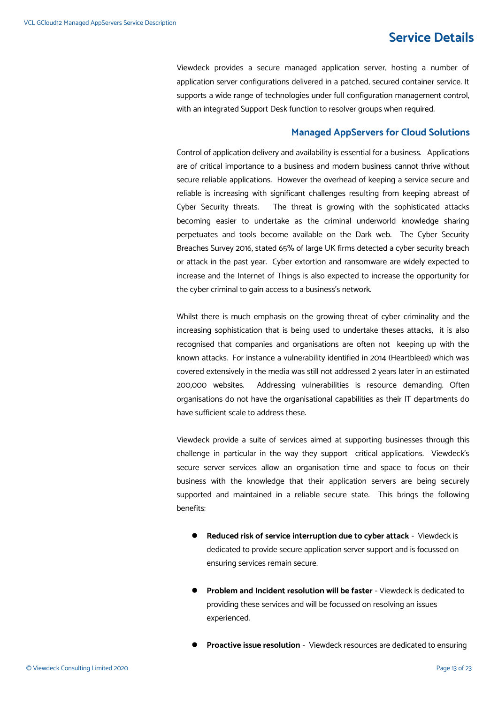# **Service Details**

Viewdeck provides a secure managed application server, hosting a number of application server configurations delivered in a patched, secured container service. It supports a wide range of technologies under full configuration management control, with an integrated Support Desk function to resolver groups when required.

#### **Managed AppServers for Cloud Solutions**

Control of application delivery and availability is essential for a business. Applications are of critical importance to a business and modern business cannot thrive without secure reliable applications. However the overhead of keeping a service secure and reliable is increasing with significant challenges resulting from keeping abreast of Cyber Security threats. The threat is growing with the sophisticated attacks becoming easier to undertake as the criminal underworld knowledge sharing perpetuates and tools become available on the Dark web. The Cyber Security Breaches Survey 2016, stated 65% of large UK firms detected a cyber security breach or attack in the past year. Cyber extortion and ransomware are widely expected to increase and the Internet of Things is also expected to increase the opportunity for the cyber criminal to gain access to a business's network.

Whilst there is much emphasis on the growing threat of cyber criminality and the increasing sophistication that is being used to undertake theses attacks, it is also recognised that companies and organisations are often not keeping up with the known attacks. For instance a vulnerability identified in 2014 (Heartbleed) which was covered extensively in the media was still not addressed 2 years later in an estimated 200,000 websites. Addressing vulnerabilities is resource demanding. Often organisations do not have the organisational capabilities as their IT departments do have sufficient scale to address these.

Viewdeck provide a suite of services aimed at supporting businesses through this challenge in particular in the way they support critical applications. Viewdeck's secure server services allow an organisation time and space to focus on their business with the knowledge that their application servers are being securely supported and maintained in a reliable secure state. This brings the following benefits:

- **Reduced risk of service interruption due to cyber attack** Viewdeck is dedicated to provide secure application server support and is focussed on ensuring services remain secure.
- **Problem and Incident resolution will be faster** Viewdeck is dedicated to providing these services and will be focussed on resolving an issues experienced.
- **Proactive issue resolution** Viewdeck resources are dedicated to ensuring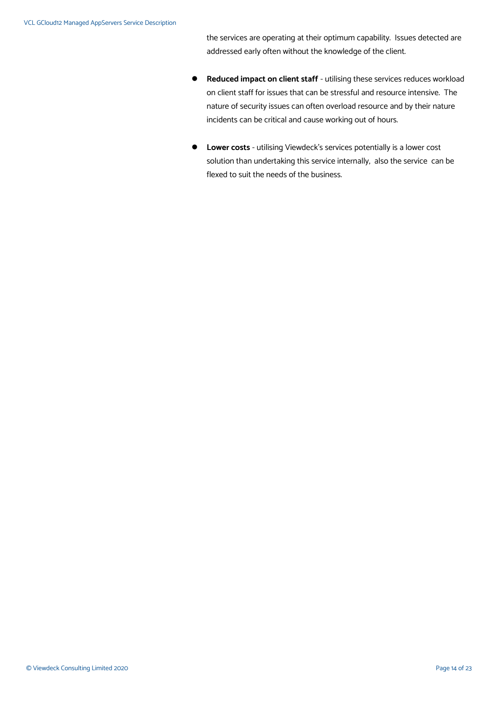the services are operating at their optimum capability. Issues detected are addressed early often without the knowledge of the client.

- **Reduced impact on client staff** utilising these services reduces workload on client staff for issues that can be stressful and resource intensive. The nature of security issues can often overload resource and by their nature incidents can be critical and cause working out of hours.
- **Lower costs** utilising Viewdeck's services potentially is a lower cost solution than undertaking this service internally, also the service can be flexed to suit the needs of the business.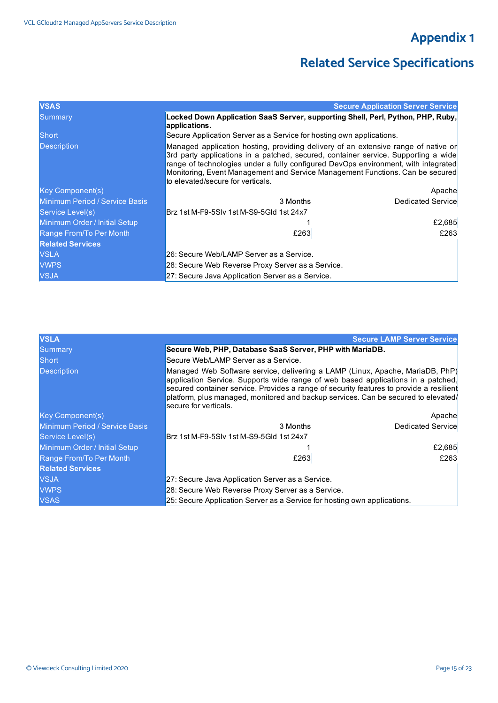# **Appendix 1**

# **Related Service Specifications**

| <b>VSAS</b>                    |                                                                                                                                                                                                                                                                                                                                                                                      | <b>Secure Application Server Service</b> |  |
|--------------------------------|--------------------------------------------------------------------------------------------------------------------------------------------------------------------------------------------------------------------------------------------------------------------------------------------------------------------------------------------------------------------------------------|------------------------------------------|--|
| Summary                        | Locked Down Application SaaS Server, supporting Shell, Perl, Python, PHP, Ruby,<br>applications.                                                                                                                                                                                                                                                                                     |                                          |  |
| <b>Short</b>                   | Secure Application Server as a Service for hosting own applications.                                                                                                                                                                                                                                                                                                                 |                                          |  |
| <b>Description</b>             | Managed application hosting, providing delivery of an extensive range of native or<br>3rd party applications in a patched, secured, container service. Supporting a wide<br>range of technologies under a fully configured DevOps environment, with integrated<br>Monitoring, Event Management and Service Management Functions. Can be secured<br>to elevated/secure for verticals. |                                          |  |
| <b>Key Component(s)</b>        |                                                                                                                                                                                                                                                                                                                                                                                      | Apachel                                  |  |
| Minimum Period / Service Basis | 3 Months                                                                                                                                                                                                                                                                                                                                                                             | Dedicated Service                        |  |
| Service Level(s)               | Brz 1st M-F9-5SIv 1st M-S9-5GId 1st 24x7                                                                                                                                                                                                                                                                                                                                             |                                          |  |
| Minimum Order / Initial Setup  |                                                                                                                                                                                                                                                                                                                                                                                      | £2,685                                   |  |
| Range From/To Per Month        | £263                                                                                                                                                                                                                                                                                                                                                                                 | £263                                     |  |
| <b>Related Services</b>        |                                                                                                                                                                                                                                                                                                                                                                                      |                                          |  |
| <b>VSLA</b>                    | 26: Secure Web/LAMP Server as a Service.                                                                                                                                                                                                                                                                                                                                             |                                          |  |
| <b>VWPS</b>                    | 28: Secure Web Reverse Proxy Server as a Service.                                                                                                                                                                                                                                                                                                                                    |                                          |  |
| <b>VSJA</b>                    | 27: Secure Java Application Server as a Service.                                                                                                                                                                                                                                                                                                                                     |                                          |  |

| <b>VSLA</b>                    |                                                                                                                                                                                                                                                                                                                                                                             | <b>Secure LAMP Server Service</b> |
|--------------------------------|-----------------------------------------------------------------------------------------------------------------------------------------------------------------------------------------------------------------------------------------------------------------------------------------------------------------------------------------------------------------------------|-----------------------------------|
| Summary                        | Secure Web, PHP, Database SaaS Server, PHP with MariaDB.                                                                                                                                                                                                                                                                                                                    |                                   |
| <b>Short</b>                   | Secure Web/LAMP Server as a Service.                                                                                                                                                                                                                                                                                                                                        |                                   |
| <b>Description</b>             | Managed Web Software service, delivering a LAMP (Linux, Apache, MariaDB, PhP)<br>application Service. Supports wide range of web based applications in a patched,<br>secured container service. Provides a range of security features to provide a resilient<br>platform, plus managed, monitored and backup services. Can be secured to elevated/<br>secure for verticals. |                                   |
| <b>Key Component(s)</b>        |                                                                                                                                                                                                                                                                                                                                                                             | Apachel                           |
| Minimum Period / Service Basis | 3 Months                                                                                                                                                                                                                                                                                                                                                                    | Dedicated Service                 |
| Service Level(s)               | Brz 1st M-F9-5SIv 1st M-S9-5Gld 1st 24x7                                                                                                                                                                                                                                                                                                                                    |                                   |
| Minimum Order / Initial Setup  |                                                                                                                                                                                                                                                                                                                                                                             | £2,685                            |
| Range From/To Per Month        | £263                                                                                                                                                                                                                                                                                                                                                                        | £263                              |
| <b>Related Services</b>        |                                                                                                                                                                                                                                                                                                                                                                             |                                   |
| <b>VSJA</b>                    | 27: Secure Java Application Server as a Service.                                                                                                                                                                                                                                                                                                                            |                                   |
| <b>VWPS</b>                    | 28: Secure Web Reverse Proxy Server as a Service.                                                                                                                                                                                                                                                                                                                           |                                   |
| <b>VSAS</b>                    | 25: Secure Application Server as a Service for hosting own applications.                                                                                                                                                                                                                                                                                                    |                                   |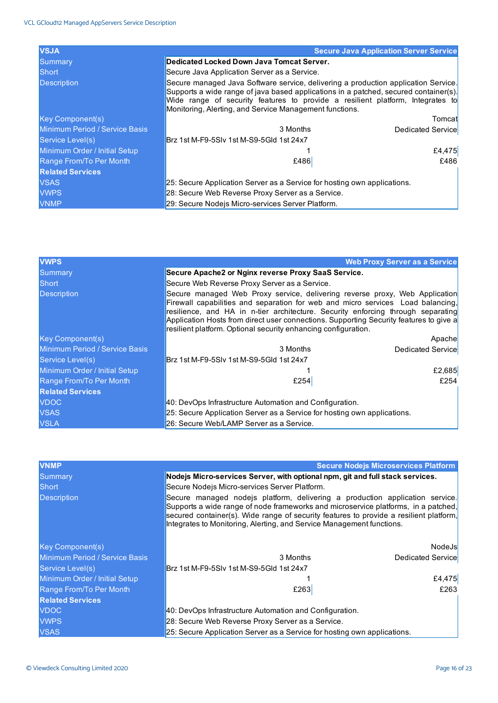| <b>VSJA</b>                    | <b>Secure Java Application Server Service</b>                                                                                                                                                                                                                                                                           |                   |
|--------------------------------|-------------------------------------------------------------------------------------------------------------------------------------------------------------------------------------------------------------------------------------------------------------------------------------------------------------------------|-------------------|
| <b>Summary</b>                 | Dedicated Locked Down Java Tomcat Server.                                                                                                                                                                                                                                                                               |                   |
| Short                          | Secure Java Application Server as a Service.                                                                                                                                                                                                                                                                            |                   |
| <b>Description</b>             | Secure managed Java Software service, delivering a production application Service.<br>Supports a wide range of java based applications in a patched, secured container(s).<br>Wide range of security features to provide a resilient platform, Integrates to<br>Monitoring, Alerting, and Service Management functions. |                   |
| <b>Key Component(s)</b>        |                                                                                                                                                                                                                                                                                                                         | Tomcatl           |
| Minimum Period / Service Basis | 3 Months                                                                                                                                                                                                                                                                                                                | Dedicated Service |
| Service Level(s)               | lBrz 1st M-F9-5SIv 1st M-S9-5Gld 1st 24x7                                                                                                                                                                                                                                                                               |                   |
| Minimum Order / Initial Setup  |                                                                                                                                                                                                                                                                                                                         | £4,475            |
| Range From/To Per Month        | £486                                                                                                                                                                                                                                                                                                                    | £486              |
| <b>Related Services</b>        |                                                                                                                                                                                                                                                                                                                         |                   |
| <b>VSAS</b>                    | 25: Secure Application Server as a Service for hosting own applications.                                                                                                                                                                                                                                                |                   |
| <b>VWPS</b>                    | 28: Secure Web Reverse Proxy Server as a Service.                                                                                                                                                                                                                                                                       |                   |
| <b>VNMP</b>                    | 29: Secure Nodejs Micro-services Server Platform.                                                                                                                                                                                                                                                                       |                   |

| <b>VWPS</b>                    |                                                                                                                                                                                                                                                                                                                                                                                                                | <b>Web Proxy Server as a Service</b> |
|--------------------------------|----------------------------------------------------------------------------------------------------------------------------------------------------------------------------------------------------------------------------------------------------------------------------------------------------------------------------------------------------------------------------------------------------------------|--------------------------------------|
| <b>Summary</b>                 | Secure Apache2 or Nginx reverse Proxy SaaS Service.                                                                                                                                                                                                                                                                                                                                                            |                                      |
| Short                          | Secure Web Reverse Proxy Server as a Service.                                                                                                                                                                                                                                                                                                                                                                  |                                      |
| <b>Description</b>             | Secure managed Web Proxy service, delivering reverse proxy, Web Application<br>Firewall capabilities and separation for web and micro services Load balancing,<br>resilience, and HA in n-tier architecture. Security enforcing through separating<br>Application Hosts from direct user connections. Supporting Security features to give a<br>resilient platform. Optional security enhancing configuration. |                                      |
| <b>Key Component(s)</b>        |                                                                                                                                                                                                                                                                                                                                                                                                                | Apache                               |
| Minimum Period / Service Basis | 3 Months                                                                                                                                                                                                                                                                                                                                                                                                       | Dedicated Service                    |
| Service Level(s)               | Brz 1st M-F9-5SIv 1st M-S9-5GId 1st 24x7                                                                                                                                                                                                                                                                                                                                                                       |                                      |
| Minimum Order / Initial Setup  |                                                                                                                                                                                                                                                                                                                                                                                                                | £2,685                               |
| Range From/To Per Month        | £254                                                                                                                                                                                                                                                                                                                                                                                                           | £254                                 |
| <b>Related Services</b>        |                                                                                                                                                                                                                                                                                                                                                                                                                |                                      |
| <b>VDOC</b>                    | 40: DevOps Infrastructure Automation and Configuration.                                                                                                                                                                                                                                                                                                                                                        |                                      |
| <b>VSAS</b>                    | 25: Secure Application Server as a Service for hosting own applications.                                                                                                                                                                                                                                                                                                                                       |                                      |
| <b>VSLA</b>                    | 26: Secure Web/LAMP Server as a Service.                                                                                                                                                                                                                                                                                                                                                                       |                                      |

| <b>VNMP</b>                    |                                                                                                                                                                                                                                                                                                                                       | <b>Secure Nodejs Microservices Platform</b> |
|--------------------------------|---------------------------------------------------------------------------------------------------------------------------------------------------------------------------------------------------------------------------------------------------------------------------------------------------------------------------------------|---------------------------------------------|
| Summary                        | Nodejs Micro-services Server, with optional npm, git and full stack services.                                                                                                                                                                                                                                                         |                                             |
| Short                          | Secure Nodejs Micro-services Server Platform.                                                                                                                                                                                                                                                                                         |                                             |
| <b>Description</b>             | Secure managed nodeis platform, delivering a production application service.<br>Supports a wide range of node frameworks and microservice platforms, in a patched,<br>secured container(s). Wide range of security features to provide a resilient platform,<br>Integrates to Monitoring, Alerting, and Service Management functions. |                                             |
| <b>Key Component(s)</b>        |                                                                                                                                                                                                                                                                                                                                       | <b>NodeJs</b>                               |
| Minimum Period / Service Basis | 3 Months                                                                                                                                                                                                                                                                                                                              | Dedicated Service                           |
| Service Level(s)               | Brz 1st M-F9-5SIv 1st M-S9-5GId 1st 24x7                                                                                                                                                                                                                                                                                              |                                             |
| Minimum Order / Initial Setup  |                                                                                                                                                                                                                                                                                                                                       | £4,475                                      |
| Range From/To Per Month        | £263                                                                                                                                                                                                                                                                                                                                  | £263                                        |
| <b>Related Services</b>        |                                                                                                                                                                                                                                                                                                                                       |                                             |
| <b>VDOC</b>                    | 40: DevOps Infrastructure Automation and Configuration.                                                                                                                                                                                                                                                                               |                                             |
| <b>VWPS</b>                    | 28: Secure Web Reverse Proxy Server as a Service.                                                                                                                                                                                                                                                                                     |                                             |
| <b>VSAS</b>                    | 25: Secure Application Server as a Service for hosting own applications.                                                                                                                                                                                                                                                              |                                             |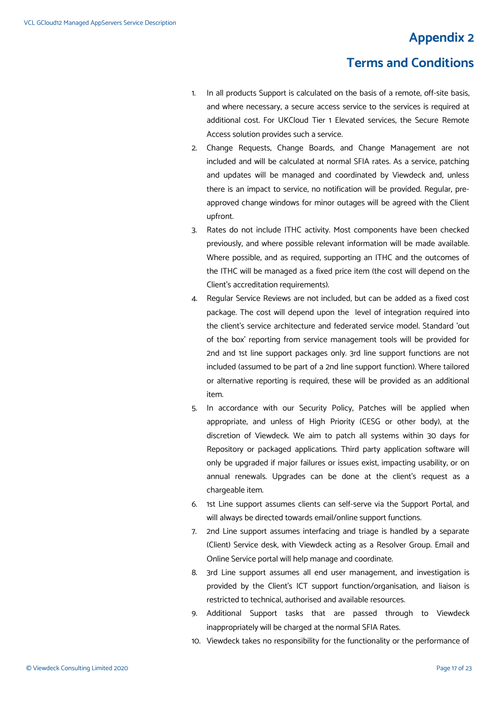# **Appendix 2**

# **Terms and Conditions**

- 1. In all products Support is calculated on the basis of a remote, off-site basis, and where necessary, a secure access service to the services is required at additional cost. For UKCloud Tier 1 Elevated services, the Secure Remote Access solution provides such a service.
- 2. Change Requests, Change Boards, and Change Management are not included and will be calculated at normal SFIA rates. As a service, patching and updates will be managed and coordinated by Viewdeck and, unless there is an impact to service, no notification will be provided. Regular, preapproved change windows for minor outages will be agreed with the Client upfront.
- 3. Rates do not include ITHC activity. Most components have been checked previously, and where possible relevant information will be made available. Where possible, and as required, supporting an ITHC and the outcomes of the ITHC will be managed as a fixed price item (the cost will depend on the Client's accreditation requirements).
- 4. Regular Service Reviews are not included, but can be added as a fixed cost package. The cost will depend upon the level of integration required into the client's service architecture and federated service model. Standard 'out of the box' reporting from service management tools will be provided for 2nd and 1st line support packages only. 3rd line support functions are not included (assumed to be part of a 2nd line support function). Where tailored or alternative reporting is required, these will be provided as an additional item.
- 5. In accordance with our Security Policy, Patches will be applied when appropriate, and unless of High Priority (CESG or other body), at the discretion of Viewdeck. We aim to patch all systems within 30 days for Repository or packaged applications. Third party application software will only be upgraded if major failures or issues exist, impacting usability, or on annual renewals. Upgrades can be done at the client's request as a chargeable item.
- 6. 1st Line support assumes clients can self-serve via the Support Portal, and will always be directed towards email/online support functions.
- 7. 2nd Line support assumes interfacing and triage is handled by a separate (Client) Service desk, with Viewdeck acting as a Resolver Group. Email and Online Service portal will help manage and coordinate.
- 8. 3rd Line support assumes all end user management, and investigation is provided by the Client's ICT support function/organisation, and liaison is restricted to technical, authorised and available resources.
- 9. Additional Support tasks that are passed through to Viewdeck inappropriately will be charged at the normal SFIA Rates.
- 10. Viewdeck takes no responsibility for the functionality or the performance of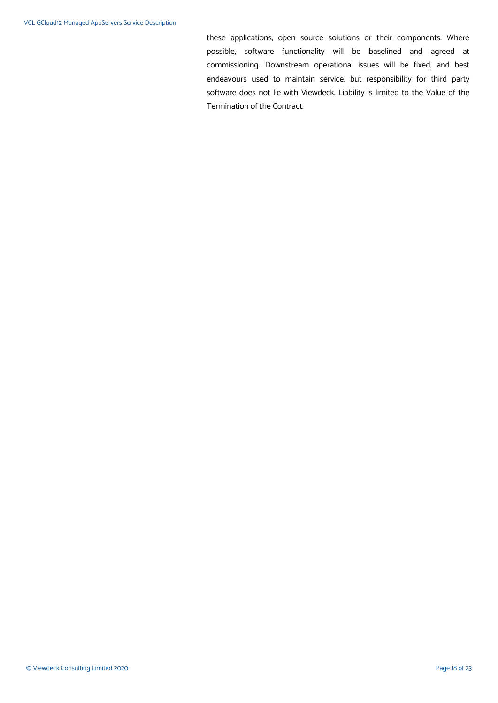these applications, open source solutions or their components. Where possible, software functionality will be baselined and agreed at commissioning. Downstream operational issues will be fixed, and best endeavours used to maintain service, but responsibility for third party software does not lie with Viewdeck. Liability is limited to the Value of the Termination of the Contract.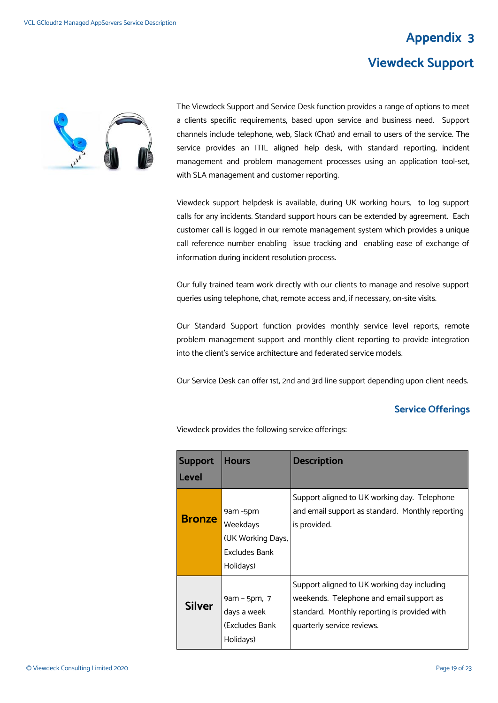# **Appendix 3**

# **Viewdeck Support**



The Viewdeck Support and Service Desk function provides a range of options to meet a clients specific requirements, based upon service and business need. Support channels include telephone, web, Slack (Chat) and email to users of the service. The service provides an ITIL aligned help desk, with standard reporting, incident management and problem management processes using an application tool-set, with SLA management and customer reporting.

Viewdeck support helpdesk is available, during UK working hours, to log support calls for any incidents. Standard support hours can be extended by agreement. Each customer call is logged in our remote management system which provides a unique call reference number enabling issue tracking and enabling ease of exchange of information during incident resolution process.

Our fully trained team work directly with our clients to manage and resolve support queries using telephone, chat, remote access and, if necessary, on-site visits.

Our Standard Support function provides monthly service level reports, remote problem management support and monthly client reporting to provide integration into the client's service architecture and federated service models.

Our Service Desk can offer 1st, 2nd and 3rd line support depending upon client needs.

#### **Service Offerings**

Viewdeck provides the following service offerings:

| <b>Support</b> | <b>Hours</b>         | <b>Description</b>                               |
|----------------|----------------------|--------------------------------------------------|
| Level          |                      |                                                  |
|                |                      | Support aligned to UK working day. Telephone     |
|                | 9am -5pm             | and email support as standard. Monthly reporting |
| <b>Bronze</b>  | Weekdays             | is provided.                                     |
|                | (UK Working Days,    |                                                  |
|                | <b>Excludes Bank</b> |                                                  |
|                | Holidays)            |                                                  |
|                |                      | Support aligned to UK working day including      |
|                | 9am – 5pm, 7         | weekends. Telephone and email support as         |
| <b>Silver</b>  | days a week          | standard. Monthly reporting is provided with     |
|                | (Excludes Bank)      | quarterly service reviews.                       |
|                | Holidays)            |                                                  |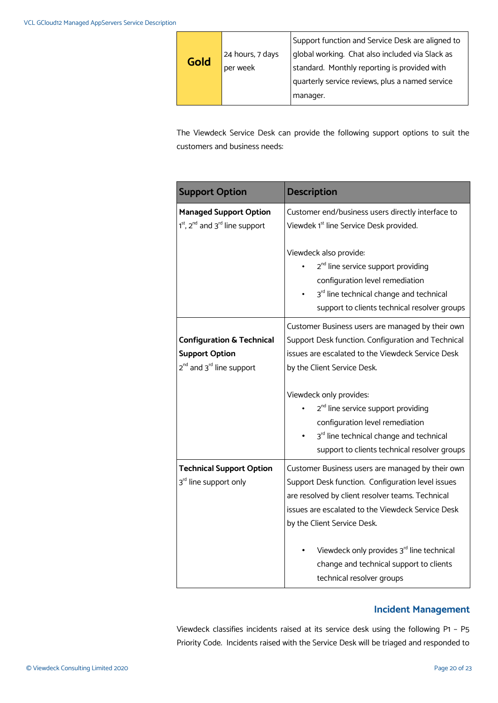|      |                  | Support function and Service Desk are aligned to |
|------|------------------|--------------------------------------------------|
| Gold | 24 hours, 7 days | global working. Chat also included via Slack as  |
|      | per week         | standard. Monthly reporting is provided with     |
|      |                  | quarterly service reviews, plus a named service  |
|      |                  | manager.                                         |

The Viewdeck Service Desk can provide the following support options to suit the customers and business needs:

| <b>Support Option</b>                                                                                             | <b>Description</b>                                                                                                                                                                                                                                                                                                                                                 |
|-------------------------------------------------------------------------------------------------------------------|--------------------------------------------------------------------------------------------------------------------------------------------------------------------------------------------------------------------------------------------------------------------------------------------------------------------------------------------------------------------|
| <b>Managed Support Option</b><br>1 <sup>st</sup> , 2 <sup>nd</sup> and 3 <sup>rd</sup> line support               | Customer end/business users directly interface to<br>Viewdek 1 <sup>st</sup> line Service Desk provided.                                                                                                                                                                                                                                                           |
|                                                                                                                   | Viewdeck also provide:<br>2 <sup>nd</sup> line service support providing<br>configuration level remediation<br>3rd line technical change and technical<br>support to clients technical resolver groups                                                                                                                                                             |
| <b>Configuration &amp; Technical</b><br><b>Support Option</b><br>2 <sup>nd</sup> and 3 <sup>rd</sup> line support | Customer Business users are managed by their own<br>Support Desk function. Configuration and Technical<br>issues are escalated to the Viewdeck Service Desk<br>by the Client Service Desk.                                                                                                                                                                         |
|                                                                                                                   | Viewdeck only provides:<br>2 <sup>nd</sup> line service support providing<br>configuration level remediation<br>3rd line technical change and technical<br>support to clients technical resolver groups                                                                                                                                                            |
| <b>Technical Support Option</b><br>3rd line support only                                                          | Customer Business users are managed by their own<br>Support Desk function. Configuration level issues<br>are resolved by client resolver teams. Technical<br>issues are escalated to the Viewdeck Service Desk<br>by the Client Service Desk.<br>Viewdeck only provides 3rd line technical<br>change and technical support to clients<br>technical resolver groups |

#### **Incident Management**

Viewdeck classifies incidents raised at its service desk using the following P1 – P5 Priority Code. Incidents raised with the Service Desk will be triaged and responded to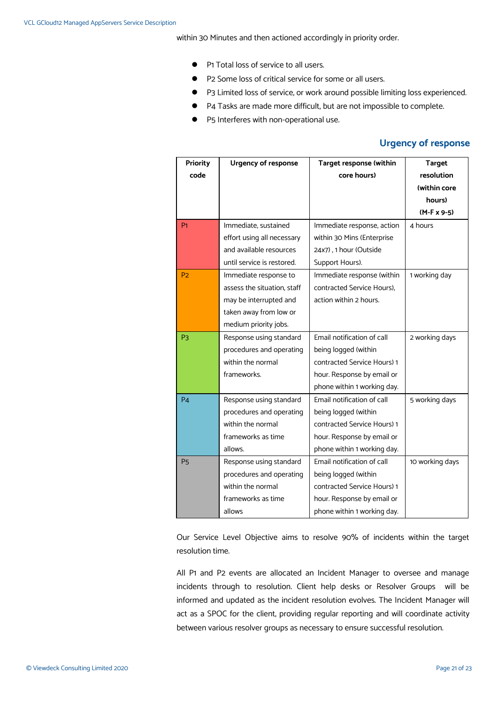within 30 Minutes and then actioned accordingly in priority order.

- **P1** Total loss of service to all users.
- P2 Some loss of critical service for some or all users.
- P3 Limited loss of service, or work around possible limiting loss experienced.
- P4 Tasks are made more difficult, but are not impossible to complete.
- P5 Interferes with non-operational use.

#### **Urgency of response**

| <b>Priority</b>      | <b>Urgency of response</b>  | Target response (within     | <b>Target</b>      |
|----------------------|-----------------------------|-----------------------------|--------------------|
| code                 |                             | core hours)                 | resolution         |
|                      |                             |                             | (within core       |
|                      |                             |                             | hours)             |
|                      |                             |                             | $(M-F \times 9-5)$ |
| P <sub>1</sub>       | Immediate, sustained        | Immediate response, action  | 4 hours            |
|                      | effort using all necessary  | within 30 Mins (Enterprise  |                    |
|                      | and available resources     | 24x7), 1 hour (Outside      |                    |
|                      | until service is restored.  | Support Hours).             |                    |
| P <sub>2</sub>       | Immediate response to       | Immediate response (within  | 1 working day      |
|                      | assess the situation, staff | contracted Service Hours).  |                    |
|                      | may be interrupted and      | action within 2 hours.      |                    |
|                      | taken away from low or      |                             |                    |
|                      | medium priority jobs.       |                             |                    |
| P <sub>3</sub>       | Response using standard     | Email notification of call  | 2 working days     |
|                      | procedures and operating    | being logged (within        |                    |
|                      | within the normal           | contracted Service Hours) 1 |                    |
|                      | frameworks.                 | hour. Response by email or  |                    |
|                      |                             | phone within 1 working day. |                    |
| <b>P4</b>            | Response using standard     | Email notification of call  | 5 working days     |
|                      | procedures and operating    | being logged (within        |                    |
|                      | within the normal           | contracted Service Hours) 1 |                    |
|                      | frameworks as time          | hour. Response by email or  |                    |
|                      | allows.                     | phone within 1 working day. |                    |
| <b>P<sub>5</sub></b> | Response using standard     | Email notification of call  | 10 working days    |
|                      | procedures and operating    | being logged (within        |                    |
|                      | within the normal           | contracted Service Hours) 1 |                    |
|                      | frameworks as time          | hour. Response by email or  |                    |
|                      | allows                      | phone within 1 working day. |                    |

Our Service Level Objective aims to resolve 90% of incidents within the target resolution time.

All P1 and P2 events are allocated an Incident Manager to oversee and manage incidents through to resolution. Client help desks or Resolver Groups will be informed and updated as the incident resolution evolves. The Incident Manager will act as a SPOC for the client, providing regular reporting and will coordinate activity between various resolver groups as necessary to ensure successful resolution.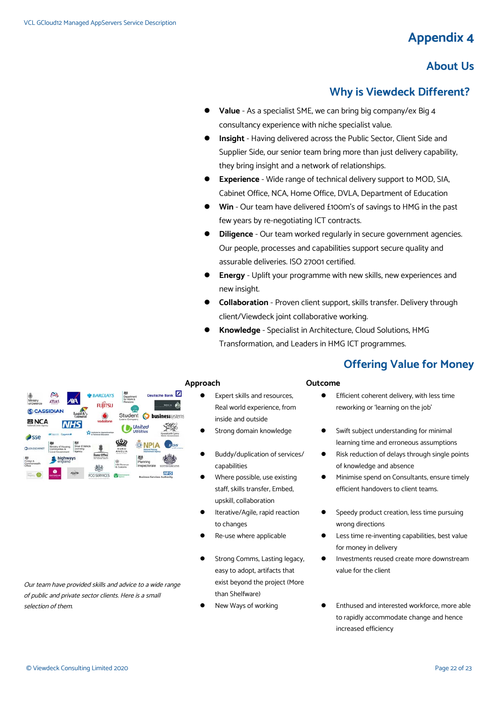# **Appendix 4**

# **About Us**

### **Why is Viewdeck Different?**

- **Value** As a specialist SME, we can bring big company/ex Big 4 consultancy experience with niche specialist value.
- **Insight** Having delivered across the Public Sector, Client Side and Supplier Side, our senior team bring more than just delivery capability. they bring insight and a network of relationships.
- **Experience** Wide range of technical delivery support to MOD, SIA, Cabinet Office, NCA, Home Office, DVLA, Department of Education
- **Win** Our team have delivered £100m's of savings to HMG in the past few years by re-negotiating ICT contracts.
- **Diligence** Our team worked regularly in secure government agencies. Our people, processes and capabilities support secure quality and assurable deliveries. ISO 27001 certified.
- **Energy** Uplift your programme with new skills, new experiences and new insight.
- **Collaboration** Proven client support, skills transfer. Delivery through client/Viewdeck joint collaborative working.
- **Knowledge** Specialist in Architecture, Cloud Solutions, HMG Transformation, and Leaders in HMG ICT programmes.

## **Offering Value for Money**



#### **Approach Outcome**

- Expert skills and resources, Real world experience, from inside and outside
- 
- Buddy/duplication of services/ capabilities
- Where possible, use existing staff, skills transfer, Embed, upskill, collaboration
- Iterative/Agile, rapid reaction to changes
- 
- Strong Comms, Lasting legacy, easy to adopt, artifacts that exist beyond the project (More than Shelfware)
- 

- **Efficient coherent delivery, with less time** reworking or 'learning on the job'
- Strong domain knowledge **••** Swift subject understanding for minimal learning time and erroneous assumptions
	- Risk reduction of delays through single points of knowledge and absence
	- **•** Minimise spend on Consultants, ensure timely efficient handovers to client teams.
	- Speedy product creation, less time pursuing wrong directions
- Re-use where applicable  $\bullet$  Less time re-inventing capabilities, best value for money in delivery
	- Investments reused create more downstream value for the client
- New Ways of working **CONFIDENT CONTEX CONTEX CONTEX CONTEX CONTEX CONTEX CONTEX CONTEX CONTEX CONTEX CONTEX CONTEX CONTEX CONTEX CONTEX CONTEX CONTEX CONTEX CONTEX CONTEX CONTEX CONTEX CONTEX CONTEX CONTEX CONTEX CONTEX CO** to rapidly accommodate change and hence increased efficiency

Our team have provided skills and advice to a wide range of public and private sector clients. Here is a small selection of them.